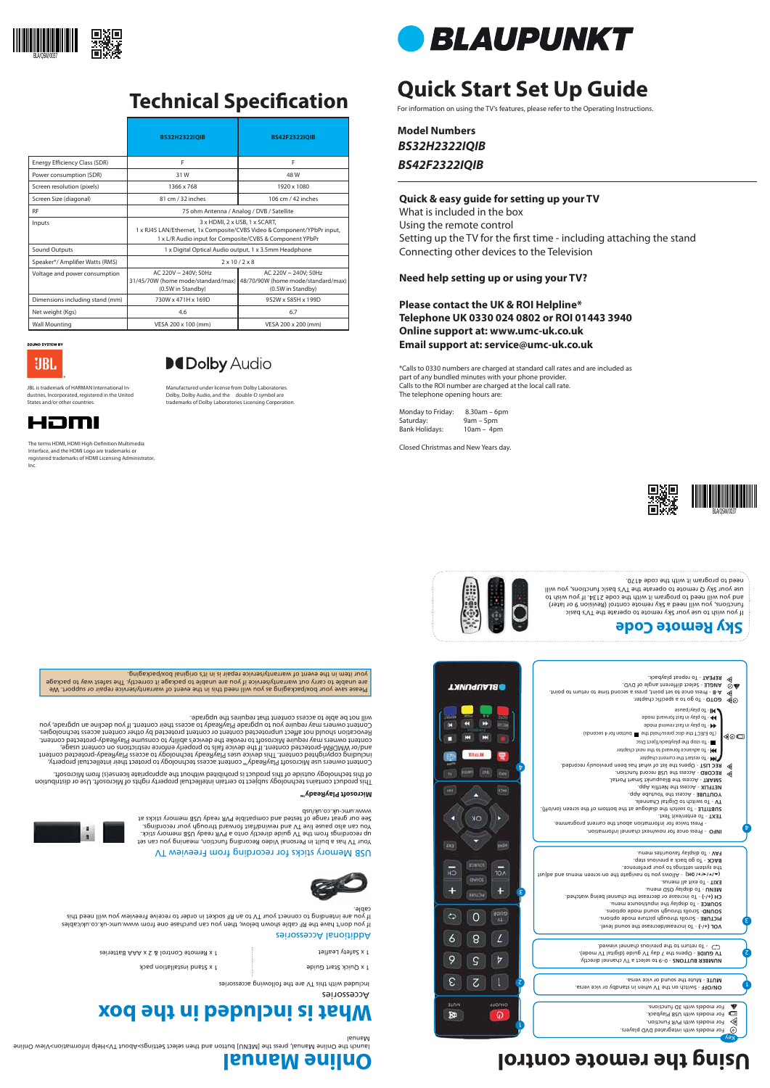# **Quick Start Set Up Guide**

For information on using the TV's features, please refer to the Operating Instructions.

**Model Numbers** *BS32H2322IQIB BS42F2322IQIB*

### **Quick & easy guide for setting up your TV**

What is included in the box Using the remote control Setting up the TV for the first time - including attaching the stand Connecting other devices to the Television

### **Need help setting up or using your TV?**

### **Please contact the UK & ROI Helpline\* Telephone UK 0330 024 0802 or ROI 01443 3940 Online support at: www.umc-uk.co.uk Email support at: service@umc-uk.co.uk**

\*Calls to 0330 numbers are charged at standard call rates and are included as part of any bundled minutes with your phone provider. Calls to the ROI number are charged at the local call rate. The telephone opening hours are:

Monday to Friday: 8.30am – 6pm Saturday: 9am – 5pm Bank Holidays: 10am – 4pm

Closed Christmas and New Years day.











Please save your box/packaging as you will need this in the event of warranty/service repair or support. We are unable to carry out warranty/service if you are unable to package it correctly. The safest way to package your item in the event of warranty/service repair is in it's original box/packaging.

Accessories

Included with this TV are the following accessories

### **What is included in the box**

1 x Quick Start Guide

1 x Stand installation pack

1 x Safety Leaflet the APA Batteries et al. (1 x Semons Remote 1 x Seira) and the 1 x Seira 1 x Seira 1 x Seir

#### Additional Accessories

If you don't have the RF cable shown below, then you can purchase one from www.umc-uk.co.uk/cables If you are intending to connect your TV to an RF socket in order to receive Freeview you will need this cable.



#### USB Memory sticks for recording from Freeview TV

Your TV has a built in Personal Video Recording function, meaning you can set up recordings from the TV guide directly onto a PVR ready USB memory stick. You can also pause live TV and rewind/fast forward through your recordings. See our great range of tested and compatible PVR ready USB memory sticks at www.umc-uk.co.uk/usb

> - 0–9 to select a TV channel directly. **NUMBER BUTTONS TV GUIDE -** Opens the 7 day TV guide (digital TV mode).<br>**CD** - To return to the previous channel viewed.

**Sky Remote Code**

If you wish to use your Sky remote to operate the TV's basic functions, you will need a Sky remote control (Revision 9 or later) and you will need to program it with the code 2134. Act wish to use your Sky Q remote to operate the TV's basic functions, you will





need to program it with the code 4170.

## **Using the remote control**

# Key

### **Microsoft PlayReady™**

This product contains technology subject to certain intellectual property rights of Microsoft. Use or distribution

of this technology outside of this product is prohibited without the appropriate license(s) from Microsoft.

Content owners use Microsoft PlayReady™ content access technology to protect their intellectual property, including copyrighted content. This device uses PlayReady technology to access PlayReady-protected content and/or WMDRM-protected content. If the device fails to properly enforce restrictions on content usage, content owners may require Microsoft to revoke the device's ability to consume PlayReady-protected content. ect unprotected content or content protected by other content access technologies. Revocation should not aff Content owners may require you to upgrade PlayReady to access their content. If you decline an upgrade, you

The terms HDMI, HDMI High-Definition Multimedia Interface, and the HDMI Logo are trademarks or registered trademarks of HDMI Licensing Administrator,



will not be able to access content that requires the upgrade.

### **Online Manual**

launch the Online Manual, press the [MENU] button and then select Settings>About TV>Help Information>View Online Manual









٤

 $\mathbf{\mathit{t}}$ 



## **Technical Specification**



 $30<sup>o</sup>$ 

п

2

l.

Key

◁









For models with integrated DVD players. For models with PVR Function. For models with USB Playback. For models with 3D functions.

- Switch on the TV when in standby or vice versa. **ON/OFF**

- Mute the sound or vice versa. **MUTE** 

 - To increase/decrease the sound level. **VOL (+/-)** - Scrolls through picture mode options. **PICTURE** - Scrolls through sound mode options. **SOUND**

 - To display the input/source menu. **SOURCE** - To increase or decrease the channel being watched. **CH (+/-)** - To display OSD menu. **MENU** - To exit all menus. **EXIT** explore the Nlows you to pay to navigate the on-screen means and adjust the system settings to your preference. BACK - To go back a previous step. - To display favourites menu. **FAV**

 - Press once for now/next channel information. **INFO**  - Press twice for information about the current programme.

- To enter/exit Text. **TEXT**

- To switch the dialogue at the bottom of the screen (on/off). **SUBTITLE**

- To switch to Digital Channels. **TV** 

 - To repeat playback. **REPEAT ANGLE** - Select different angle of DVD. - Press once to set point, press a second time to return to point. **A-B COTO - To go to a specific chapter.**  - To play/pause - To play in fast forward mode - To play in fast rewind mode (To EJECT the disc press/hold the button for 4 seconds) ◀◎□ - To stop the playback/Eject Disc - To advance forward to the next chapter **THE** - To restart the current chapter - Opens the list of what has been previously recorded. **REC LIST**  $\triangleleft$  $\bm{\tau}$ P **RECORD** - Access the USB record function. - Access the Blaupunkt Smart Portal. **SMART NETFLIX - Access the Netflix App.** - Access the Youtube App. **YOUTUBE**

**BLAUPUNKT** ANGLE MART S **Date** 

|                                 | <b>BS32H2322IOIB</b>                                                                                                                                                 | <b>BS42F2322IOIB</b>                                                            |
|---------------------------------|----------------------------------------------------------------------------------------------------------------------------------------------------------------------|---------------------------------------------------------------------------------|
| Energy Efficiency Class (SDR)   | F                                                                                                                                                                    | F                                                                               |
| Power consumption (SDR)         | 31W                                                                                                                                                                  | 48 W                                                                            |
| Screen resolution (pixels)      | 1366 x 768                                                                                                                                                           | 1920 x 1080                                                                     |
| Screen Size (diagonal)          | 81 cm / 32 inches                                                                                                                                                    | 106 cm / 42 inches                                                              |
| <b>RF</b>                       | 75 ohm Antenna / Analog / DVB / Satellite                                                                                                                            |                                                                                 |
| Inputs                          | 3 x HDMI, 2 x USB, 1 x SCART,<br>1 x RJ45 LAN/Ethernet, 1x Composite/CVBS Video & Component/YPbPr input,<br>1 x L/R Audio input for Composite/CVBS & Component YPbPr |                                                                                 |
| Sound Outputs                   | 1 x Digital Optical Audio output, 1 x 3.5mm Headphone                                                                                                                |                                                                                 |
| Speaker*/ Amplifier Watts (RMS) | $2 \times 10 / 2 \times 8$                                                                                                                                           |                                                                                 |
| Voltage and power consumption   | AC 220V ~ 240V: 50Hz<br>31/45/70W (home mode/standard/max)<br>(0.5W in Standby)                                                                                      | AC 220V ~ 240V: 50Hz<br>48/70/90W (home mode/standard/max)<br>(0.5W in Standby) |
| Dimensions including stand (mm) | 730W x 471H x 169D                                                                                                                                                   | 952W x 585H x 199D                                                              |
| Net weight (Kgs)                | 4.6                                                                                                                                                                  | 6.7                                                                             |
| <b>Wall Mounting</b>            | VESA 200 x 100 (mm)                                                                                                                                                  | VESA 200 x 200 (mm)                                                             |



Manufactured under license from Dolby Laboratories. Dolby, Dolby Audio, and the double-D symbol are trademarks of Dolby Laboratories Licensing Corporation.



Inc.

JBL is trademark of HARMAN International Industries, Incorporated, registered in the United States and/or other countries.

omı